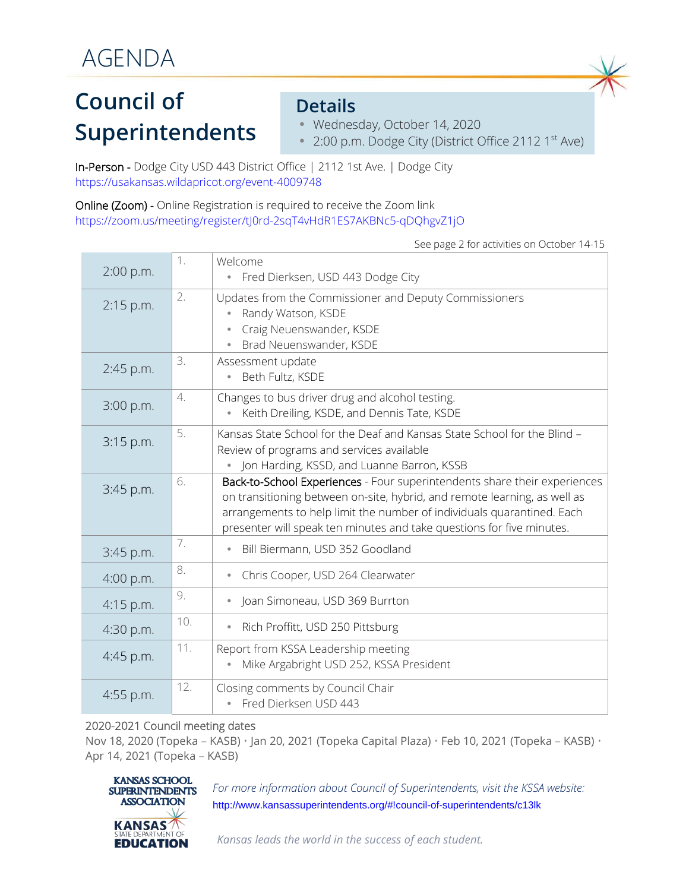## **Council of Superintendents**

### **Details**

- Wednesday, October 14, 2020
- 2:00 p.m. Dodge City (District Office 2112 1<sup>st</sup> Ave)

In-Person - Dodge City USD 443 District Office | 2112 1st Ave. | Dodge City <https://usakansas.wildapricot.org/event-4009748>

Online (Zoom) - Online Registration is required to receive the Zoom link <https://zoom.us/meeting/register/tJ0rd-2sqT4vHdR1ES7AKBNc5-qDQhgvZ1jO>

| 2:00 p.m.   | 1.               | Welcome<br>Fred Dierksen, USD 443 Dodge City<br>$\bullet$                                                                                                                                                                                                                                                 |
|-------------|------------------|-----------------------------------------------------------------------------------------------------------------------------------------------------------------------------------------------------------------------------------------------------------------------------------------------------------|
| 2:15 p.m.   | 2.               | Updates from the Commissioner and Deputy Commissioners<br>Randy Watson, KSDE<br>Craig Neuenswander, KSDE<br>Brad Neuenswander, KSDE                                                                                                                                                                       |
| 2:45 p.m.   | 3.               | Assessment update<br>Beth Fultz, KSDE<br>$\bullet$                                                                                                                                                                                                                                                        |
| 3:00 p.m.   | $\overline{4}$ . | Changes to bus driver drug and alcohol testing.<br>Keith Dreiling, KSDE, and Dennis Tate, KSDE<br>$\bullet$                                                                                                                                                                                               |
| $3:15$ p.m. | 5.               | Kansas State School for the Deaf and Kansas State School for the Blind -<br>Review of programs and services available<br>• Jon Harding, KSSD, and Luanne Barron, KSSB                                                                                                                                     |
| 3:45 p.m.   | 6.               | Back-to-School Experiences - Four superintendents share their experiences<br>on transitioning between on-site, hybrid, and remote learning, as well as<br>arrangements to help limit the number of individuals quarantined. Each<br>presenter will speak ten minutes and take questions for five minutes. |
| 3:45 p.m.   | 7.               | Bill Biermann, USD 352 Goodland                                                                                                                                                                                                                                                                           |
| $4:00$ p.m. | 8.               | Chris Cooper, USD 264 Clearwater<br>$\bullet$                                                                                                                                                                                                                                                             |
| 4:15 p.m.   | 9.               | Joan Simoneau, USD 369 Burrton<br>$\bullet$                                                                                                                                                                                                                                                               |
| 4:30 p.m.   | 10.              | Rich Proffitt, USD 250 Pittsburg                                                                                                                                                                                                                                                                          |
| 4:45 p.m.   | 11.              | Report from KSSA Leadership meeting<br>Mike Argabright USD 252, KSSA President                                                                                                                                                                                                                            |
| 4:55 p.m.   | 12.              | Closing comments by Council Chair<br>• Fred Dierksen USD 443                                                                                                                                                                                                                                              |

#### See page 2 for activities on October 14-15

#### 2020-2021 Council meeting dates

Nov 18, 2020 (Topeka – KASB) • Jan 20, 2021 (Topeka Capital Plaza) • Feb 10, 2021 (Topeka – KASB) • Apr 14, 2021 (Topeka – KASB)



For more information about Council of Superintendents, visit the KSSA website: <http://www.kansassuperintendents.org/#!council-of-superintendents/c13lk>

*Kansas leads the world in the success of each student.*